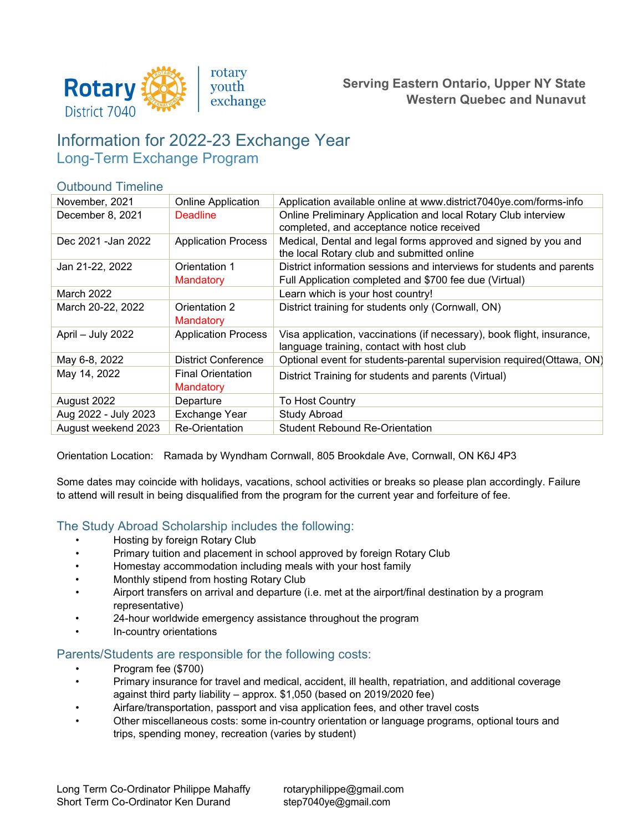

### **Serving Eastern Ontario, Upper NY State Western Quebec and Nunavut**

# Information for 2022-23 Exchange Year Long-Term Exchange Program

#### Outbound Timeline

| November, 2021       | <b>Online Application</b>             | Application available online at www.district7040ye.com/forms-info                                                               |
|----------------------|---------------------------------------|---------------------------------------------------------------------------------------------------------------------------------|
| December 8, 2021     | <b>Deadline</b>                       | Online Preliminary Application and local Rotary Club interview<br>completed, and acceptance notice received                     |
| Dec 2021 - Jan 2022  | <b>Application Process</b>            | Medical, Dental and legal forms approved and signed by you and<br>the local Rotary club and submitted online                    |
| Jan 21-22, 2022      | Orientation 1<br>Mandatory            | District information sessions and interviews for students and parents<br>Full Application completed and \$700 fee due (Virtual) |
| March 2022           |                                       | Learn which is your host country!                                                                                               |
| March 20-22, 2022    | Orientation 2<br>Mandatory            | District training for students only (Cornwall, ON)                                                                              |
| April - July 2022    | <b>Application Process</b>            | Visa application, vaccinations (if necessary), book flight, insurance,<br>language training, contact with host club             |
| May 6-8, 2022        | <b>District Conference</b>            | Optional event for students-parental supervision required(Ottawa, ON)                                                           |
| May 14, 2022         | <b>Final Orientation</b><br>Mandatory | District Training for students and parents (Virtual)                                                                            |
| August 2022          | Departure                             | To Host Country                                                                                                                 |
| Aug 2022 - July 2023 | Exchange Year                         | <b>Study Abroad</b>                                                                                                             |
| August weekend 2023  | <b>Re-Orientation</b>                 | <b>Student Rebound Re-Orientation</b>                                                                                           |

Orientation Location: Ramada by Wyndham Cornwall, 805 Brookdale Ave, Cornwall, ON K6J 4P3

Some dates may coincide with holidays, vacations, school activities or breaks so please plan accordingly. Failure to attend will result in being disqualified from the program for the current year and forfeiture of fee.

### The Study Abroad Scholarship includes the following:

- Hosting by foreign Rotary Club
- Primary tuition and placement in school approved by foreign Rotary Club
- Homestay accommodation including meals with your host family
- Monthly stipend from hosting Rotary Club
- Airport transfers on arrival and departure (i.e. met at the airport/final destination by a program representative)
- 24-hour worldwide emergency assistance throughout the program
- In-country orientations

### Parents/Students are responsible for the following costs:

- Program fee (\$700)
- Primary insurance for travel and medical, accident, ill health, repatriation, and additional coverage against third party liability – approx. \$1,050 (based on 2019/2020 fee)
- Airfare/transportation, passport and visa application fees, and other travel costs
- Other miscellaneous costs: some in-country orientation or language programs, optional tours and trips, spending money, recreation (varies by student)

[rotaryphilippe@gmail.com](mailto:rotaryphilippe@gmail.com)  [step7040ye@gmail.com](mailto:mfeallardrotary@hotmail.com)